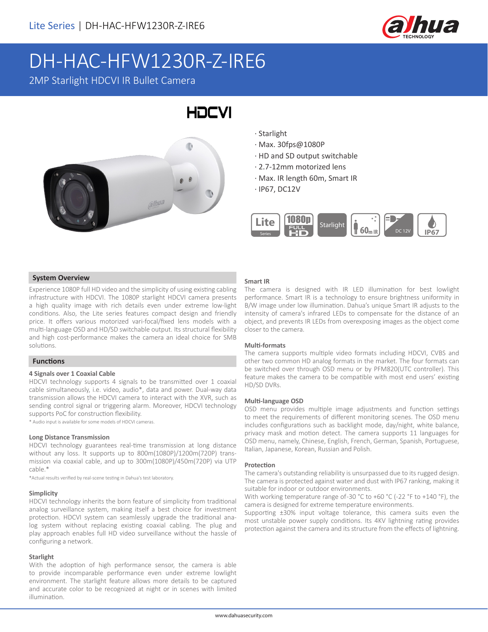

# DH-HAC-HFW1230R-Z-IRE6

2MP Starlight HDCVI IR Bullet Camera



· Starlight

**HDCVI** 

- · Max. 30fps@1080P
- · HD and SD output switchable
- · 2.7-12mm motorized lens
- · Max. IR length 60m, Smart IR
- · IP67, DC12V



#### **System Overview**

Experience 1080P full HD video and the simplicity of using existing cabling infrastructure with HDCVI. The 1080P starlight HDCVI camera presents a high quality image with rich details even under extreme low-light conditions. Also, the Lite series features compact design and friendly price. It offers various motorized vari-focal/fixed lens models with a multi-language OSD and HD/SD switchable output. Its structural flexibility and high cost-performance makes the camera an ideal choice for SMB solutions.

#### **Functions**

#### **4 Signals over 1 Coaxial Cable**

HDCVI technology supports 4 signals to be transmitted over 1 coaxial cable simultaneously, i.e. video, audio\*, data and power. Dual-way data transmission allows the HDCVI camera to interact with the XVR, such as sending control signal or triggering alarm. Moreover, HDCVI technology supports PoC for construction flexibility.

\* Audio input is available for some models of HDCVI cameras.

#### **Long Distance Transmission**

HDCVI technology guarantees real-time transmission at long distance without any loss. It supports up to 800m(1080P)/1200m(720P) transmission via coaxial cable, and up to 300m(1080P)/450m(720P) via UTP cable.\*

\*Actual results verified by real-scene testing in Dahua's test laboratory.

#### **Simplicity**

HDCVI technology inherits the born feature of simplicity from traditional analog surveillance system, making itself a best choice for investment protection. HDCVI system can seamlessly upgrade the traditional analog system without replacing existing coaxial cabling. The plug and play approach enables full HD video surveillance without the hassle of configuring a network.

#### **Starlight**

With the adoption of high performance sensor, the camera is able to provide incomparable performance even under extreme lowlight environment. The starlight feature allows more details to be captured and accurate color to be recognized at night or in scenes with limited illumination.

#### **Smart IR**

The camera is designed with IR LED illumination for best lowlight performance. Smart IR is a technology to ensure brightness uniformity in B/W image under low illumination. Dahua's unique Smart IR adjusts to the intensity of camera's infrared LEDs to compensate for the distance of an object, and prevents IR LEDs from overexposing images as the object come closer to the camera.

#### **Multi-formats**

The camera supports multiple video formats including HDCVI, CVBS and other two common HD analog formats in the market. The four formats can be switched over through OSD menu or by PFM820(UTC controller). This feature makes the camera to be compatible with most end users' existing HD/SD DVRs.

#### **Multi-language OSD**

OSD menu provides multiple image adjustments and function settings to meet the requirements of different monitoring scenes. The OSD menu includes configurations such as backlight mode, day/night, white balance, privacy mask and motion detect. The camera supports 11 languages for OSD menu, namely, Chinese, English, French, German, Spanish, Portuguese, Italian, Japanese, Korean, Russian and Polish.

#### **Protection**

The camera's outstanding reliability is unsurpassed due to its rugged design. The camera is protected against water and dust with IP67 ranking, making it suitable for indoor or outdoor environments.

With working temperature range of -30 °C to +60 °C (-22 °F to +140 °F), the camera is designed for extreme temperature environments.

Supporting ±30% input voltage tolerance, this camera suits even the most unstable power supply conditions. Its 4KV lightning rating provides protection against the camera and its structure from the effects of lightning.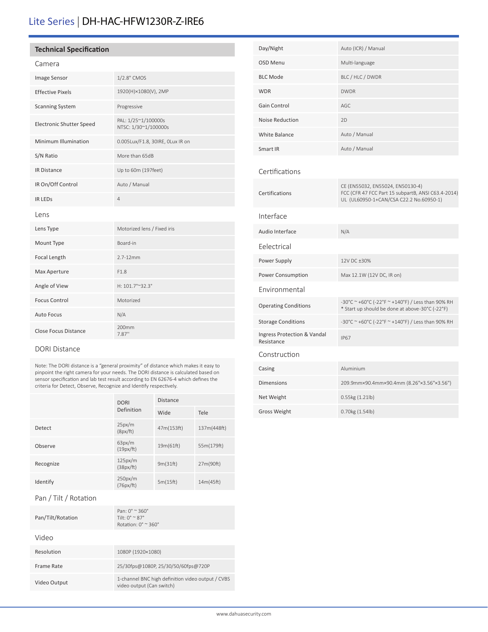# Lite Series | DH-HAC-HFW1230R-Z-IRE6

#### **Technical Specification**

|--|

| Image Sensor                    | 1/2.8" CMOS                                 |  |
|---------------------------------|---------------------------------------------|--|
| <b>Effective Pixels</b>         | 1920(H)×1080(V), 2MP                        |  |
| <b>Scanning System</b>          | Progressive                                 |  |
| <b>Electronic Shutter Speed</b> | PAL: 1/25~1/100000s<br>NTSC: 1/30~1/100000s |  |
| Minimum Illumination            | 0.005Lux/F1.8, 30IRE, OLux IR on            |  |
| S/N Ratio                       | More than 65dB                              |  |
| <b>IR Distance</b>              | Up to 60m (197feet)                         |  |
| IR On/Off Control               | Auto / Manual                               |  |
| <b>IR LEDS</b>                  | 4                                           |  |
| Lens                            |                                             |  |
| Lens Type                       | Motorized lens / Fixed iris                 |  |
| Mount Type                      | Board-in                                    |  |
| Focal Length                    | $2.7 - 12$ mm                               |  |
| Max Aperture                    | F1.8                                        |  |
| Angle of View                   | H: 101.7°~32.3°                             |  |
| <b>Focus Control</b>            | Motorized                                   |  |
| <b>Auto Focus</b>               | N/A                                         |  |
| <b>Close Focus Distance</b>     | 200 <sub>mm</sub><br>7.87"                  |  |

#### DORI Distance

Note: The DORI distance is a "general proximity" of distance which makes it easy to pinpoint the right camera for your needs. The DORI distance is calculated based on sensor specification and lab test result according to EN 62676-4 which defines the criteria for Detect, Observe, Recognize and Identify respectively.

|           | <b>DORI</b><br>Definition | <b>Distance</b> |             |
|-----------|---------------------------|-----------------|-------------|
|           |                           | Wide            | Tele        |
| Detect    | 25px/m<br>(8px/ft)        | 47m(153ft)      | 137m(448ft) |
| Observe   | 63px/m<br>(19px/ft)       | 19m(61ft)       | 55m(179ft)  |
| Recognize | 125px/m<br>(38px/ft)      | 9m(31ft)        | 27m(90ft)   |
| Identify  | 250px/m<br>(76px/ft)      | 5m(15ft)        | 14m(45ft)   |

#### Pan / Tilt / Rotation

| Pan/Tilt/Rotation | $Pan: 0^{\circ} \approx 360^{\circ}$<br>Tilt: $0^\circ \approx 87^\circ$<br>Rotation: $0^\circ \approx 360^\circ$ |
|-------------------|-------------------------------------------------------------------------------------------------------------------|
| Video             |                                                                                                                   |
| Resolution        | 1080P (1920×1080)                                                                                                 |
| Frame Rate        | 25/30fps@1080P, 25/30/50/60fps@720P                                                                               |
| Video Output      | 1-channel BNC high definition video output / CVBS<br>video output (Can switch)                                    |
|                   |                                                                                                                   |

| Day/Night                                 | Auto (ICR) / Manual                                                                                                               |
|-------------------------------------------|-----------------------------------------------------------------------------------------------------------------------------------|
| <b>OSD Menu</b>                           | Multi-language                                                                                                                    |
| <b>BLC Mode</b>                           | BLC / HLC / DWDR                                                                                                                  |
| <b>WDR</b>                                | <b>DWDR</b>                                                                                                                       |
| Gain Control                              | AGC                                                                                                                               |
| <b>Noise Reduction</b>                    | 2D                                                                                                                                |
| <b>White Balance</b>                      | Auto / Manual                                                                                                                     |
| Smart IR                                  | Auto / Manual                                                                                                                     |
| Certifications                            |                                                                                                                                   |
| Certifications                            | CE (EN55032, EN55024, EN50130-4)<br>FCC (CFR 47 FCC Part 15 subpartB, ANSI C63.4-2014)<br>UL (UL60950-1+CAN/CSA C22.2 No.60950-1) |
| Interface                                 |                                                                                                                                   |
| Audio Interface                           | N/A                                                                                                                               |
| Eelectrical                               |                                                                                                                                   |
| Power Supply                              | 12V DC ±30%                                                                                                                       |
| Power Consumption                         | Max 12.1W (12V DC, IR on)                                                                                                         |
| Environmental                             |                                                                                                                                   |
| <b>Operating Conditions</b>               | -30°C ~ +60°C (-22°F ~ +140°F) / Less than 90% RH<br>* Start up should be done at above-30°C (-22°F)                              |
| <b>Storage Conditions</b>                 | -30°C ~ +60°C (-22°F ~ +140°F) / Less than 90% RH                                                                                 |
| Ingress Protection & Vandal<br>Resistance | <b>IP67</b>                                                                                                                       |
| Construction                              |                                                                                                                                   |
| Casing                                    | Aluminium                                                                                                                         |
| <b>Dimensions</b>                         | 209.9mm×90.4mm×90.4mm (8.26"×3.56"×3.56")                                                                                         |
| Net Weight                                | 0.55kg (1.21lb)                                                                                                                   |
| <b>Gross Weight</b>                       | 0.70kg (1.54lb)                                                                                                                   |